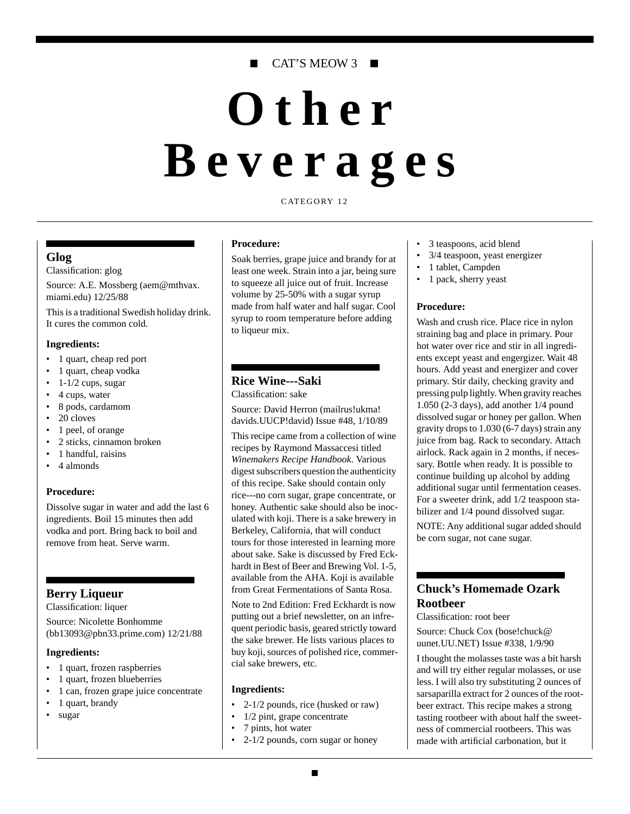# CAT'S MEOW 3 ■

# **Other Beverages**

CATEGORY 12

### **Glog**

Classification: glog

Source: A.E. Mossberg (aem@mthvax. miami.edu) 12/25/88

This is a traditional Swedish holiday drink. It cures the common cold.

#### **Ingredients:**

- 1 quart, cheap red port
- 1 quart, cheap vodka
- $\cdot$  1-1/2 cups, sugar
- 4 cups, water
- 8 pods, cardamom
- 20 cloves
- 1 peel, of orange
- 2 sticks, cinnamon broken
- 1 handful, raisins
- 4 almonds

# **Procedure:**

Dissolve sugar in water and add the last 6 ingredients. Boil 15 minutes then add vodka and port. Bring back to boil and remove from heat. Serve warm.

# **Berry Liqueur**

Classification: liquer

Source: Nicolette Bonhomme (bb13093@pbn33.prime.com) 12/21/88

#### **Ingredients:**

- 1 quart, frozen raspberries
- 1 quart, frozen blueberries
- 1 can, frozen grape juice concentrate
- 1 quart, brandy
- sugar

#### **Procedure:**

Soak berries, grape juice and brandy for at least one week. Strain into a jar, being sure to squeeze all juice out of fruit. Increase volume by 25-50% with a sugar syrup made from half water and half sugar. Cool syrup to room temperature before adding to liqueur mix.

# **Rice Wine---Saki**

Classification: sake

Source: David Herron (mailrus!ukma! davids.UUCP!david) Issue #48, 1/10/89

This recipe came from a collection of wine recipes by Raymond Massaccesi titled *Winemakers Recipe Handbook*. Various digest subscribers question the authenticity of this recipe. Sake should contain only rice---no corn sugar, grape concentrate, or honey. Authentic sake should also be inoculated with koji. There is a sake brewery in Berkeley, California, that will conduct tours for those interested in learning more about sake. Sake is discussed by Fred Eckhardt in Best of Beer and Brewing Vol. 1-5, available from the AHA. Koji is available from Great Fermentations of Santa Rosa.

Note to 2nd Edition: Fred Eckhardt is now putting out a brief newsletter, on an infrequent periodic basis, geared strictly toward the sake brewer. He lists various places to buy koji, sources of polished rice, commercial sake brewers, etc.

#### **Ingredients:**

- 2-1/2 pounds, rice (husked or raw)
- 1/2 pint, grape concentrate
- 7 pints, hot water
- 2-1/2 pounds, corn sugar or honey
- 3 teaspoons, acid blend
- 3/4 teaspoon, yeast energizer
- 1 tablet, Campden
- 1 pack, sherry yeast

#### **Procedure:**

Wash and crush rice. Place rice in nylon straining bag and place in primary. Pour hot water over rice and stir in all ingredients except yeast and engergizer. Wait 48 hours. Add yeast and energizer and cover primary. Stir daily, checking gravity and pressing pulp lightly. When gravity reaches 1.050 (2-3 days), add another 1/4 pound dissolved sugar or honey per gallon. When gravity drops to 1.030 (6-7 days) strain any juice from bag. Rack to secondary. Attach airlock. Rack again in 2 months, if necessary. Bottle when ready. It is possible to continue building up alcohol by adding additional sugar until fermentation ceases. For a sweeter drink, add 1/2 teaspoon stabilizer and 1/4 pound dissolved sugar. NOTE: Any additional sugar added should be corn sugar, not cane sugar.

# **Chuck's Homemade Ozark Rootbeer**

Classification: root beer

Source: Chuck Cox (bose!chuck@ uunet.UU.NET) Issue #338, 1/9/90

I thought the molasses taste was a bit harsh and will try either regular molasses, or use less. I will also try substituting 2 ounces of sarsaparilla extract for 2 ounces of the rootbeer extract. This recipe makes a strong tasting rootbeer with about half the sweetness of commercial rootbeers. This was made with artificial carbonation, but it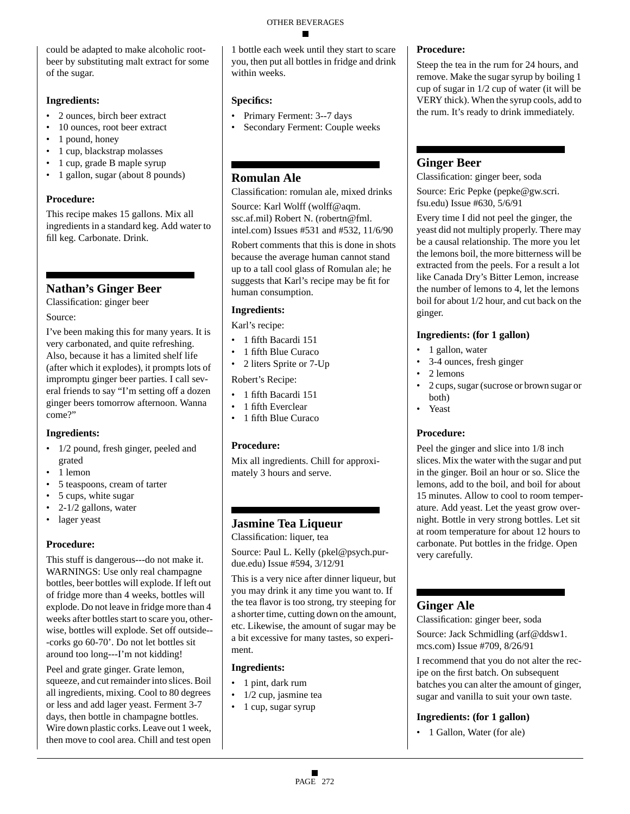could be adapted to make alcoholic rootbeer by substituting malt extract for some of the sugar.

### **Ingredients:**

- 2 ounces, birch beer extract
- 10 ounces, root beer extract
- 1 pound, honey
- 1 cup, blackstrap molasses
- 1 cup, grade B maple syrup
- 1 gallon, sugar (about 8 pounds)

## **Procedure:**

This recipe makes 15 gallons. Mix all ingredients in a standard keg. Add water to fill keg. Carbonate. Drink.

# **Nathan's Ginger Beer**

Classification: ginger beer

### Source:

I've been making this for many years. It is very carbonated, and quite refreshing. Also, because it has a limited shelf life (after which it explodes), it prompts lots of impromptu ginger beer parties. I call several friends to say "I'm setting off a dozen ginger beers tomorrow afternoon. Wanna come?"

# **Ingredients:**

- 1/2 pound, fresh ginger, peeled and grated
- 1 lemon
- 5 teaspoons, cream of tarter
- 5 cups, white sugar
- 2-1/2 gallons, water
- lager yeast

# **Procedure:**

This stuff is dangerous---do not make it. WARNINGS: Use only real champagne bottles, beer bottles will explode. If left out of fridge more than 4 weeks, bottles will explode. Do not leave in fridge more than 4 weeks after bottles start to scare you, otherwise, bottles will explode. Set off outside-- -corks go 60-70'. Do not let bottles sit around too long---I'm not kidding!

Peel and grate ginger. Grate lemon, squeeze, and cut remainder into slices. Boil all ingredients, mixing. Cool to 80 degrees or less and add lager yeast. Ferment 3-7 days, then bottle in champagne bottles. Wire down plastic corks. Leave out 1 week, then move to cool area. Chill and test open

1 bottle each week until they start to scare you, then put all bottles in fridge and drink within weeks.

# **Specifics:**

- Primary Ferment: 3--7 days
- Secondary Ferment: Couple weeks

# **Romulan Ale**

Classification: romulan ale, mixed drinks

Source: Karl Wolff (wolff@aqm. ssc.af.mil) Robert N. (robertn@fml. intel.com) Issues #531 and #532, 11/6/90

Robert comments that this is done in shots because the average human cannot stand up to a tall cool glass of Romulan ale; he suggests that Karl's recipe may be fit for human consumption.

# **Ingredients:**

Karl's recipe:

- 1 fifth Bacardi 151
- 1 fifth Blue Curaco
- 2 liters Sprite or 7-Up

Robert's Recipe:

- 1 fifth Bacardi 151
- 1 fifth Everclear
- 1 fifth Blue Curaco

# **Procedure:**

Mix all ingredients. Chill for approximately 3 hours and serve.

# **Jasmine Tea Liqueur**

Classification: liquer, tea

Source: Paul L. Kelly (pkel@psych.purdue.edu) Issue #594, 3/12/91

This is a very nice after dinner liqueur, but you may drink it any time you want to. If the tea flavor is too strong, try steeping for a shorter time, cutting down on the amount, etc. Likewise, the amount of sugar may be a bit excessive for many tastes, so experiment.

# **Ingredients:**

- 1 pint, dark rum
- 1/2 cup, jasmine tea
- 1 cup, sugar syrup

# **Procedure:**

Steep the tea in the rum for 24 hours, and remove. Make the sugar syrup by boiling 1 cup of sugar in 1/2 cup of water (it will be VERY thick). When the syrup cools, add to the rum. It's ready to drink immediately.

# **Ginger Beer**

Classification: ginger beer, soda

Source: Eric Pepke (pepke@gw.scri. fsu.edu) Issue #630, 5/6/91

Every time I did not peel the ginger, the yeast did not multiply properly. There may be a causal relationship. The more you let the lemons boil, the more bitterness will be extracted from the peels. For a result a lot like Canada Dry's Bitter Lemon, increase the number of lemons to 4, let the lemons boil for about 1/2 hour, and cut back on the ginger.

### **Ingredients: (for 1 gallon)**

- 1 gallon, water
- 3-4 ounces, fresh ginger
- 2 lemons
- 2 cups, sugar (sucrose or brown sugar or both)
- Yeast

# **Procedure:**

Peel the ginger and slice into 1/8 inch slices. Mix the water with the sugar and put in the ginger. Boil an hour or so. Slice the lemons, add to the boil, and boil for about 15 minutes. Allow to cool to room temperature. Add yeast. Let the yeast grow overnight. Bottle in very strong bottles. Let sit at room temperature for about 12 hours to carbonate. Put bottles in the fridge. Open very carefully.

# **Ginger Ale**

Classification: ginger beer, soda

Source: Jack Schmidling (arf@ddsw1. mcs.com) Issue #709, 8/26/91

I recommend that you do not alter the recipe on the first batch. On subsequent batches you can alter the amount of ginger, sugar and vanilla to suit your own taste.

# **Ingredients: (for 1 gallon)**

• 1 Gallon, Water (for ale)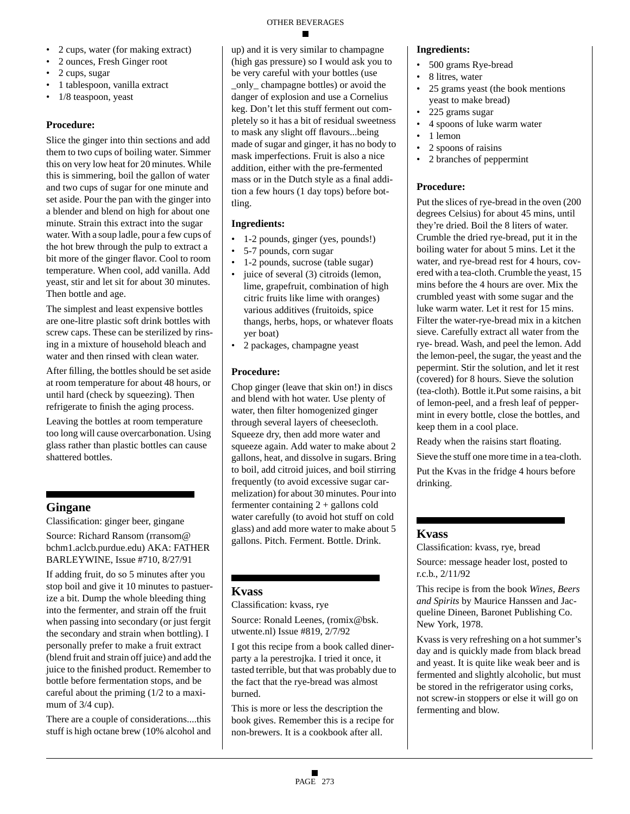- 2 cups, water (for making extract)
- 2 ounces, Fresh Ginger root
- 2 cups, sugar
- 1 tablespoon, vanilla extract
- 1/8 teaspoon, yeast

### **Procedure:**

Slice the ginger into thin sections and add them to two cups of boiling water. Simmer this on very low heat for 20 minutes. While this is simmering, boil the gallon of water and two cups of sugar for one minute and set aside. Pour the pan with the ginger into a blender and blend on high for about one minute. Strain this extract into the sugar water. With a soup ladle, pour a few cups of the hot brew through the pulp to extract a bit more of the ginger flavor. Cool to room temperature. When cool, add vanilla. Add yeast, stir and let sit for about 30 minutes. Then bottle and age.

The simplest and least expensive bottles are one-litre plastic soft drink bottles with screw caps. These can be sterilized by rinsing in a mixture of household bleach and water and then rinsed with clean water.

After filling, the bottles should be set aside at room temperature for about 48 hours, or until hard (check by squeezing). Then refrigerate to finish the aging process.

Leaving the bottles at room temperature too long will cause overcarbonation. Using glass rather than plastic bottles can cause shattered bottles.

# **Gingane**

Classification: ginger beer, gingane

Source: Richard Ransom (rransom@ bchm1.aclcb.purdue.edu) AKA: FATHER BARLEYWINE, Issue #710, 8/27/91

If adding fruit, do so 5 minutes after you stop boil and give it 10 minutes to pastuerize a bit. Dump the whole bleeding thing into the fermenter, and strain off the fruit when passing into secondary (or just fergit the secondary and strain when bottling). I personally prefer to make a fruit extract (blend fruit and strain off juice) and add the juice to the finished product. Remember to bottle before fermentation stops, and be careful about the priming (1/2 to a maximum of  $3/4$  cup).

There are a couple of considerations....this stuff is high octane brew (10% alcohol and up) and it is very similar to champagne (high gas pressure) so I would ask you to be very careful with your bottles (use \_only\_ champagne bottles) or avoid the danger of explosion and use a Cornelius keg. Don't let this stuff ferment out completely so it has a bit of residual sweetness to mask any slight off flavours...being made of sugar and ginger, it has no body to mask imperfections. Fruit is also a nice addition, either with the pre-fermented mass or in the Dutch style as a final addition a few hours (1 day tops) before bottling.

### **Ingredients:**

- 1-2 pounds, ginger (yes, pounds!)
- 5-7 pounds, corn sugar
- 1-2 pounds, sucrose (table sugar)
- juice of several (3) citroids (lemon, lime, grapefruit, combination of high citric fruits like lime with oranges) various additives (fruitoids, spice thangs, herbs, hops, or whatever floats yer boat)
- 2 packages, champagne yeast

# **Procedure:**

Chop ginger (leave that skin on!) in discs and blend with hot water. Use plenty of water, then filter homogenized ginger through several layers of cheesecloth. Squeeze dry, then add more water and squeeze again. Add water to make about 2 gallons, heat, and dissolve in sugars. Bring to boil, add citroid juices, and boil stirring frequently (to avoid excessive sugar carmelization) for about 30 minutes. Pour into fermenter containing 2 + gallons cold water carefully (to avoid hot stuff on cold glass) and add more water to make about 5 gallons. Pitch. Ferment. Bottle. Drink.

# **Kvass**

Classification: kvass, rye

Source: Ronald Leenes, (romix@bsk. utwente.nl) Issue #819, 2/7/92

I got this recipe from a book called dinerparty a la perestrojka. I tried it once, it tasted terrible, but that was probably due to the fact that the rye-bread was almost burned.

This is more or less the description the book gives. Remember this is a recipe for non-brewers. It is a cookbook after all.

### **Ingredients:**

- 500 grams Rye-bread
- 8 litres, water
- 25 grams yeast (the book mentions yeast to make bread)
- 225 grams sugar
- 4 spoons of luke warm water
- 1 lemon
- 2 spoons of raisins
- 2 branches of peppermint

# **Procedure:**

Put the slices of rye-bread in the oven (200 degrees Celsius) for about 45 mins, until they're dried. Boil the 8 liters of water. Crumble the dried rye-bread, put it in the boiling water for about 5 mins. Let it the water, and rye-bread rest for 4 hours, covered with a tea-cloth. Crumble the yeast, 15 mins before the 4 hours are over. Mix the crumbled yeast with some sugar and the luke warm water. Let it rest for 15 mins. Filter the water-rye-bread mix in a kitchen sieve. Carefully extract all water from the rye- bread. Wash, and peel the lemon. Add the lemon-peel, the sugar, the yeast and the pepermint. Stir the solution, and let it rest (covered) for 8 hours. Sieve the solution (tea-cloth). Bottle it.Put some raisins, a bit of lemon-peel, and a fresh leaf of peppermint in every bottle, close the bottles, and keep them in a cool place.

Ready when the raisins start floating.

Sieve the stuff one more time in a tea-cloth.

Put the Kvas in the fridge 4 hours before drinking.

# **Kvass**

Classification: kvass, rye, bread

Source: message header lost, posted to r.c.b., 2/11/92

This recipe is from the book *Wines, Beers and Spirits* by Maurice Hanssen and Jacqueline Dineen, Baronet Publishing Co. New York, 1978.

Kvass is very refreshing on a hot summer's day and is quickly made from black bread and yeast. It is quite like weak beer and is fermented and slightly alcoholic, but must be stored in the refrigerator using corks, not screw-in stoppers or else it will go on fermenting and blow.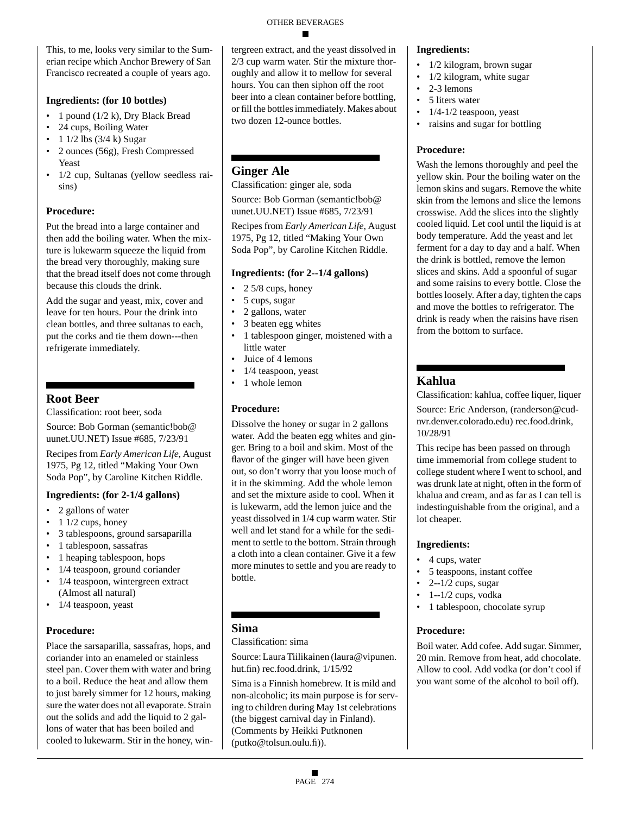#### OTHER BEVERAGES

This, to me, looks very similar to the Sumerian recipe which Anchor Brewery of San Francisco recreated a couple of years ago.

#### **Ingredients: (for 10 bottles)**

- 1 pound  $(1/2 \text{ k})$ , Dry Black Bread
- 24 cups, Boiling Water
- $1 \frac{1}{2}$  lbs  $\left(\frac{3}{4} \text{ k}\right)$  Sugar
- 2 ounces (56g), Fresh Compressed Yeast
- 1/2 cup, Sultanas (yellow seedless raisins)

#### **Procedure:**

Put the bread into a large container and then add the boiling water. When the mixture is lukewarm squeeze the liquid from the bread very thoroughly, making sure that the bread itself does not come through because this clouds the drink.

Add the sugar and yeast, mix, cover and leave for ten hours. Pour the drink into clean bottles, and three sultanas to each, put the corks and tie them down---then refrigerate immediately.

# **Root Beer**

Classification: root beer, soda

Source: Bob Gorman (semantic!bob@ uunet.UU.NET) Issue #685, 7/23/91

Recipes from *Early American Life*, August 1975, Pg 12, titled "Making Your Own Soda Pop", by Caroline Kitchen Riddle.

#### **Ingredients: (for 2-1/4 gallons)**

- 2 gallons of water
- 1 1/2 cups, honey
- 3 tablespoons, ground sarsaparilla
- 1 tablespoon, sassafras
- 1 heaping tablespoon, hops
- 1/4 teaspoon, ground coriander
- 1/4 teaspoon, wintergreen extract (Almost all natural)
- 1/4 teaspoon, yeast

#### **Procedure:**

Place the sarsaparilla, sassafras, hops, and coriander into an enameled or stainless steel pan. Cover them with water and bring to a boil. Reduce the heat and allow them to just barely simmer for 12 hours, making sure the water does not all evaporate. Strain out the solids and add the liquid to 2 gallons of water that has been boiled and cooled to lukewarm. Stir in the honey, wintergreen extract, and the yeast dissolved in 2/3 cup warm water. Stir the mixture thoroughly and allow it to mellow for several hours. You can then siphon off the root beer into a clean container before bottling, or fill the bottles immediately. Makes about two dozen 12-ounce bottles.

# **Ginger Ale**

Classification: ginger ale, soda

Source: Bob Gorman (semantic!bob@ uunet.UU.NET) Issue #685, 7/23/91

Recipes from *Early American Life*, August 1975, Pg 12, titled "Making Your Own Soda Pop", by Caroline Kitchen Riddle.

#### **Ingredients: (for 2--1/4 gallons)**

- 2 5/8 cups, honey
- 5 cups, sugar
- 2 gallons, water
- 3 beaten egg whites
- 1 tablespoon ginger, moistened with a little water
- Juice of 4 lemons
- 1/4 teaspoon, yeast
- 1 whole lemon

#### **Procedure:**

Dissolve the honey or sugar in 2 gallons water. Add the beaten egg whites and ginger. Bring to a boil and skim. Most of the flavor of the ginger will have been given out, so don't worry that you loose much of it in the skimming. Add the whole lemon and set the mixture aside to cool. When it is lukewarm, add the lemon juice and the yeast dissolved in 1/4 cup warm water. Stir well and let stand for a while for the sediment to settle to the bottom. Strain through a cloth into a clean container. Give it a few more minutes to settle and you are ready to bottle.

# **Sima**

Classification: sima

Source: Laura Tiilikainen (laura@vipunen. hut.fin) rec.food.drink, 1/15/92

Sima is a Finnish homebrew. It is mild and non-alcoholic; its main purpose is for serving to children during May 1st celebrations (the biggest carnival day in Finland). (Comments by Heikki Putknonen (putko@tolsun.oulu.fi)).

#### **Ingredients:**

- 1/2 kilogram, brown sugar
- $1/2$  kilogram, white sugar
- 2-3 lemons
- 5 liters water
- $1/4 1/2$  teaspoon, yeast
- raisins and sugar for bottling

#### **Procedure:**

Wash the lemons thoroughly and peel the yellow skin. Pour the boiling water on the lemon skins and sugars. Remove the white skin from the lemons and slice the lemons crosswise. Add the slices into the slightly cooled liquid. Let cool until the liquid is at body temperature. Add the yeast and let ferment for a day to day and a half. When the drink is bottled, remove the lemon slices and skins. Add a spoonful of sugar and some raisins to every bottle. Close the bottles loosely. After a day, tighten the caps and move the bottles to refrigerator. The drink is ready when the raisins have risen from the bottom to surface.

# **Kahlua**

Classification: kahlua, coffee liquer, liquer

Source: Eric Anderson, (randerson@cudnvr.denver.colorado.edu) rec.food.drink, 10/28/91

This recipe has been passed on through time immemorial from college student to college student where I went to school, and was drunk late at night, often in the form of khalua and cream, and as far as I can tell is indestinguishable from the original, and a lot cheaper.

#### **Ingredients:**

- 4 cups, water
- 5 teaspoons, instant coffee
- 2--1/2 cups, sugar
- $\bullet$  1--1/2 cups, vodka
- 1 tablespoon, chocolate syrup

#### **Procedure:**

Boil water. Add cofee. Add sugar. Simmer, 20 min. Remove from heat, add chocolate. Allow to cool. Add vodka (or don't cool if you want some of the alcohol to boil off).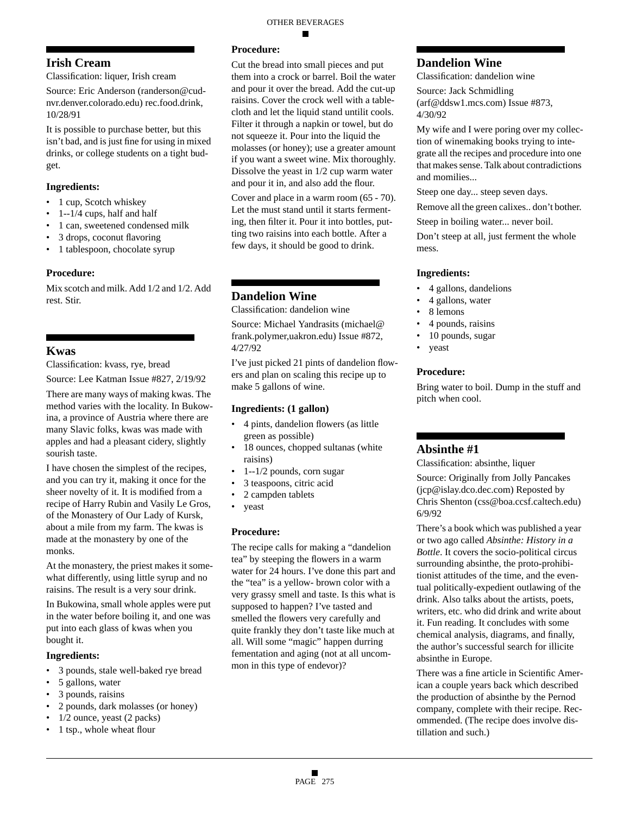# **Irish Cream**

Classification: liquer, Irish cream

Source: Eric Anderson (randerson@cudnvr.denver.colorado.edu) rec.food.drink, 10/28/91

It is possible to purchase better, but this isn't bad, and is just fine for using in mixed drinks, or college students on a tight budget.

#### **Ingredients:**

- 1 cup, Scotch whiskey
- 1--1/4 cups, half and half
- 1 can, sweetened condensed milk
- 3 drops, coconut flavoring
- 1 tablespoon, chocolate syrup

#### **Procedure:**

Mix scotch and milk. Add 1/2 and 1/2. Add rest. Stir.

# **Kwas**

Classification: kvass, rye, bread Source: Lee Katman Issue #827, 2/19/92

There are many ways of making kwas. The method varies with the locality. In Bukowina, a province of Austria where there are many Slavic folks, kwas was made with apples and had a pleasant cidery, slightly sourish taste.

I have chosen the simplest of the recipes, and you can try it, making it once for the sheer novelty of it. It is modified from a recipe of Harry Rubin and Vasily Le Gros, of the Monastery of Our Lady of Kursk, about a mile from my farm. The kwas is made at the monastery by one of the monks.

At the monastery, the priest makes it somewhat differently, using little syrup and no raisins. The result is a very sour drink.

In Bukowina, small whole apples were put in the water before boiling it, and one was put into each glass of kwas when you bought it.

#### **Ingredients:**

- 3 pounds, stale well-baked rye bread
- 5 gallons, water
- 3 pounds, raisins
- 2 pounds, dark molasses (or honey)
- 1/2 ounce, yeast (2 packs)
- 1 tsp., whole wheat flour

# **Procedure:**

Cut the bread into small pieces and put them into a crock or barrel. Boil the water and pour it over the bread. Add the cut-up raisins. Cover the crock well with a tablecloth and let the liquid stand untilit cools. Filter it through a napkin or towel, but do not squeeze it. Pour into the liquid the molasses (or honey); use a greater amount if you want a sweet wine. Mix thoroughly. Dissolve the yeast in 1/2 cup warm water and pour it in, and also add the flour.

Cover and place in a warm room (65 - 70). Let the must stand until it starts fermenting, then filter it. Pour it into bottles, putting two raisins into each bottle. After a few days, it should be good to drink.

# **Dandelion Wine**

Classification: dandelion wine

Source: Michael Yandrasits (michael@ frank.polymer,uakron.edu) Issue #872, 4/27/92

I've just picked 21 pints of dandelion flowers and plan on scaling this recipe up to make 5 gallons of wine.

#### **Ingredients: (1 gallon)**

- 4 pints, dandelion flowers (as little green as possible)
- 18 ounces, chopped sultanas (white raisins)
- 1--1/2 pounds, corn sugar
- 3 teaspoons, citric acid
- 2 campden tablets
- yeast

# **Procedure:**

The recipe calls for making a "dandelion tea" by steeping the flowers in a warm water for 24 hours. I've done this part and the "tea" is a yellow- brown color with a very grassy smell and taste. Is this what is supposed to happen? I've tasted and smelled the flowers very carefully and quite frankly they don't taste like much at all. Will some "magic" happen durring fementation and aging (not at all uncommon in this type of endevor)?

# **Dandelion Wine**

Classification: dandelion wine

Source: Jack Schmidling (arf@ddsw1.mcs.com) Issue #873, 4/30/92

My wife and I were poring over my collection of winemaking books trying to integrate all the recipes and procedure into one that makes sense. Talk about contradictions and momilies...

Steep one day... steep seven days.

Remove all the green calixes.. don't bother.

Steep in boiling water... never boil.

Don't steep at all, just ferment the whole mess.

### **Ingredients:**

- 4 gallons, dandelions
- 4 gallons, water
- 8 lemons
- 4 pounds, raisins
- 10 pounds, sugar
- yeast

#### **Procedure:**

Bring water to boil. Dump in the stuff and pitch when cool.

# **Absinthe #1**

Classification: absinthe, liquer

Source: Originally from Jolly Pancakes (jcp@islay.dco.dec.com) Reposted by Chris Shenton (css@boa.ccsf.caltech.edu) 6/9/92

There's a book which was published a year or two ago called *Absinthe: History in a Bottle*. It covers the socio-political circus surrounding absinthe, the proto-prohibitionist attitudes of the time, and the eventual politically-expedient outlawing of the drink. Also talks about the artists, poets, writers, etc. who did drink and write about it. Fun reading. It concludes with some chemical analysis, diagrams, and finally, the author's successful search for illicite absinthe in Europe.

There was a fine article in Scientific American a couple years back which described the production of absinthe by the Pernod company, complete with their recipe. Recommended. (The recipe does involve distillation and such.)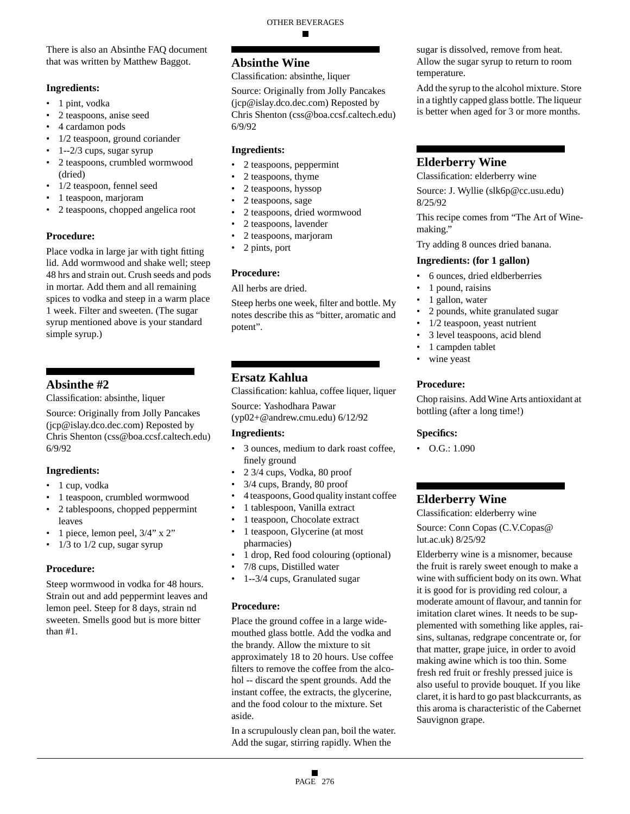There is also an Absinthe FAQ document that was written by Matthew Baggot.

#### **Ingredients:**

- 1 pint, vodka
- 2 teaspoons, anise seed
- 4 cardamon pods
- 1/2 teaspoon, ground coriander
- 1--2/3 cups, sugar syrup
- 2 teaspoons, crumbled wormwood (dried)
- 1/2 teaspoon, fennel seed
- 1 teaspoon, marjoram
- 2 teaspoons, chopped angelica root

# **Procedure:**

Place vodka in large jar with tight fitting lid. Add wormwood and shake well; steep 48 hrs and strain out. Crush seeds and pods in mortar. Add them and all remaining spices to vodka and steep in a warm place 1 week. Filter and sweeten. (The sugar syrup mentioned above is your standard simple syrup.)

# **Absinthe #2**

Classification: absinthe, liquer

Source: Originally from Jolly Pancakes (jcp@islay.dco.dec.com) Reposted by Chris Shenton (css@boa.ccsf.caltech.edu) 6/9/92

# **Ingredients:**

- 1 cup, vodka
- 1 teaspoon, crumbled wormwood
- 2 tablespoons, chopped peppermint leaves
- 1 piece, lemon peel, 3/4" x 2"
- $1/3$  to  $1/2$  cup, sugar syrup

# **Procedure:**

Steep wormwood in vodka for 48 hours. Strain out and add peppermint leaves and lemon peel. Steep for 8 days, strain nd sweeten. Smells good but is more bitter than #1.

# **Absinthe Wine**

Classification: absinthe, liquer

Source: Originally from Jolly Pancakes (jcp@islay.dco.dec.com) Reposted by Chris Shenton (css@boa.ccsf.caltech.edu) 6/9/92

# **Ingredients:**

- 2 teaspoons, peppermint
- 2 teaspoons, thyme
- 2 teaspoons, hyssop
- 2 teaspoons, sage
- 2 teaspoons, dried wormwood
- 2 teaspoons, lavender
- 2 teaspoons, marjoram
- 2 pints, port

# **Procedure:**

All herbs are dried.

Steep herbs one week, filter and bottle. My notes describe this as "bitter, aromatic and potent".

# **Ersatz Kahlua**

Classification: kahlua, coffee liquer, liquer

Source: Yashodhara Pawar (yp02+@andrew.cmu.edu) 6/12/92

# **Ingredients:**

- 3 ounces, medium to dark roast coffee, finely ground
- 2 3/4 cups, Vodka, 80 proof
- 3/4 cups, Brandy, 80 proof
- 4 teaspoons, Good quality instant coffee
- 1 tablespoon, Vanilla extract
- 1 teaspoon, Chocolate extract
- 1 teaspoon, Glycerine (at most pharmacies)
- 1 drop, Red food colouring (optional)
- 7/8 cups, Distilled water
- 1--3/4 cups, Granulated sugar

# **Procedure:**

Place the ground coffee in a large widemouthed glass bottle. Add the vodka and the brandy. Allow the mixture to sit approximately 18 to 20 hours. Use coffee filters to remove the coffee from the alcohol -- discard the spent grounds. Add the instant coffee, the extracts, the glycerine, and the food colour to the mixture. Set aside.

In a scrupulously clean pan, boil the water. Add the sugar, stirring rapidly. When the

sugar is dissolved, remove from heat. Allow the sugar syrup to return to room temperature.

Add the syrup to the alcohol mixture. Store in a tightly capped glass bottle. The liqueur is better when aged for 3 or more months.

# **Elderberry Wine**

Classification: elderberry wine

Source: J. Wyllie (slk6p@cc.usu.edu) 8/25/92

This recipe comes from "The Art of Winemaking."

Try adding 8 ounces dried banana.

### **Ingredients: (for 1 gallon)**

- 6 ounces, dried eldberberries
- 1 pound, raisins
- 1 gallon, water
- 2 pounds, white granulated sugar
- 1/2 teaspoon, yeast nutrient
- 3 level teaspoons, acid blend
- 1 campden tablet
- wine yeast

# **Procedure:**

Chop raisins. Add Wine Arts antioxidant at bottling (after a long time!)

# **Specifics:**

 $\bullet$  O.G.: 1.090

# **Elderberry Wine**

Classification: elderberry wine Source: Conn Copas (C.V.Copas@ lut.ac.uk) 8/25/92

Elderberry wine is a misnomer, because the fruit is rarely sweet enough to make a wine with sufficient body on its own. What it is good for is providing red colour, a moderate amount of flavour, and tannin for imitation claret wines. It needs to be supplemented with something like apples, raisins, sultanas, redgrape concentrate or, for that matter, grape juice, in order to avoid making awine which is too thin. Some fresh red fruit or freshly pressed juice is also useful to provide bouquet. If you like claret, it is hard to go past blackcurrants, as this aroma is characteristic of the Cabernet Sauvignon grape.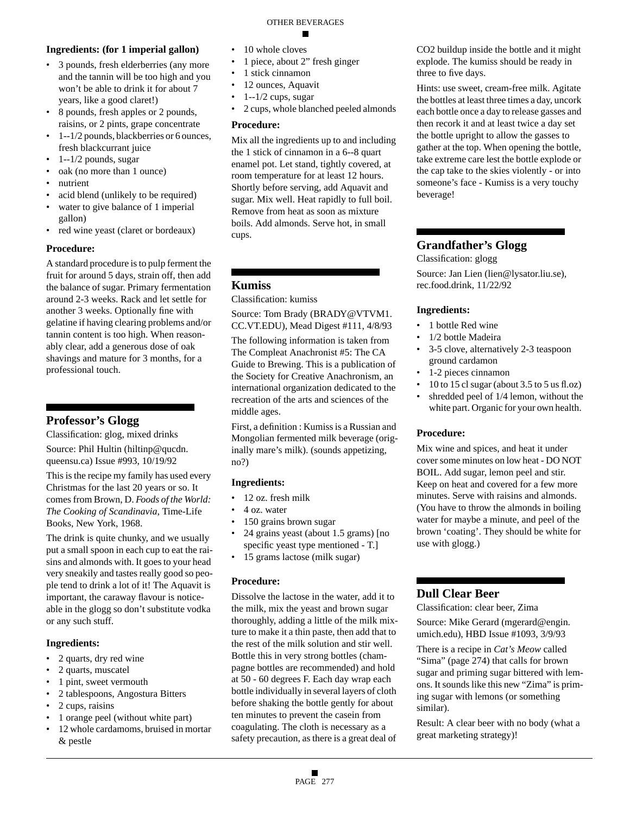#### **Ingredients: (for 1 imperial gallon)**

- 3 pounds, fresh elderberries (any more and the tannin will be too high and you won't be able to drink it for about 7 years, like a good claret!)
- 8 pounds, fresh apples or 2 pounds, raisins, or 2 pints, grape concentrate
- 1--1/2 pounds, blackberries or 6 ounces, fresh blackcurrant juice
- $\cdot$  1--1/2 pounds, sugar
- oak (no more than 1 ounce)
- nutrient
- acid blend (unlikely to be required)
- water to give balance of 1 imperial gallon)
- red wine yeast (claret or bordeaux)

#### **Procedure:**

A standard procedure is to pulp ferment the fruit for around 5 days, strain off, then add the balance of sugar. Primary fermentation around 2-3 weeks. Rack and let settle for another 3 weeks. Optionally fine with gelatine if having clearing problems and/or tannin content is too high. When reasonably clear, add a generous dose of oak shavings and mature for 3 months, for a professional touch.

# **Professor's Glogg**

Classification: glog, mixed drinks

Source: Phil Hultin (hiltinp@qucdn. queensu.ca) Issue #993, 10/19/92

This is the recipe my family has used every Christmas for the last 20 years or so. It comes from Brown, D. *Foods of the World: The Cooking of Scandinavia*, Time-Life Books, New York, 1968.

The drink is quite chunky, and we usually put a small spoon in each cup to eat the raisins and almonds with. It goes to your head very sneakily and tastes really good so people tend to drink a lot of it! The Aquavit is important, the caraway flavour is noticeable in the glogg so don't substitute vodka or any such stuff.

#### **Ingredients:**

- 2 quarts, dry red wine
- 2 quarts, muscatel
- 1 pint, sweet vermouth
- 2 tablespoons, Angostura Bitters
- 2 cups, raisins
- 1 orange peel (without white part)
- 12 whole cardamoms, bruised in mortar & pestle
- 10 whole cloves
- 1 piece, about 2" fresh ginger
- 1 stick cinnamon
- 12 ounces, Aquavit
- $1 1/2$  cups, sugar
- 2 cups, whole blanched peeled almonds

#### **Procedure:**

Mix all the ingredients up to and including the 1 stick of cinnamon in a 6--8 quart enamel pot. Let stand, tightly covered, at room temperature for at least 12 hours. Shortly before serving, add Aquavit and sugar. Mix well. Heat rapidly to full boil. Remove from heat as soon as mixture boils. Add almonds. Serve hot, in small cups.

# **Kumiss**

Classification: kumiss

Source: Tom Brady (BRADY@VTVM1. CC.VT.EDU), Mead Digest #111, 4/8/93 The following information is taken from The Compleat Anachronist #5: The CA Guide to Brewing. This is a publication of the Society for Creative Anachronism, an international organization dedicated to the recreation of the arts and sciences of the middle ages.

First, a definition : Kumiss is a Russian and Mongolian fermented milk beverage (originally mare's milk). (sounds appetizing, no?)

#### **Ingredients:**

- 12 oz. fresh milk
- 4 oz. water
- 150 grains brown sugar
- 24 grains yeast (about 1.5 grams) [no specific yeast type mentioned - T.]
- 15 grams lactose (milk sugar)

#### **Procedure:**

Dissolve the lactose in the water, add it to the milk, mix the yeast and brown sugar thoroughly, adding a little of the milk mixture to make it a thin paste, then add that to the rest of the milk solution and stir well. Bottle this in very strong bottles (champagne bottles are recommended) and hold at 50 - 60 degrees F. Each day wrap each bottle individually in several layers of cloth before shaking the bottle gently for about ten minutes to prevent the casein from coagulating. The cloth is necessary as a safety precaution, as there is a great deal of CO2 buildup inside the bottle and it might explode. The kumiss should be ready in three to five days.

Hints: use sweet, cream-free milk. Agitate the bottles at least three times a day, uncork each bottle once a day to release gasses and then recork it and at least twice a day set the bottle upright to allow the gasses to gather at the top. When opening the bottle, take extreme care lest the bottle explode or the cap take to the skies violently - or into someone's face - Kumiss is a very touchy beverage!

# **Grandfather's Glogg**

Classification: glogg Source: Jan Lien (lien@lysator.liu.se), rec.food.drink, 11/22/92

### **Ingredients:**

- 1 bottle Red wine
- 1/2 bottle Madeira
- 3-5 clove, alternatively 2-3 teaspoon ground cardamon
- 1-2 pieces cinnamon
- 10 to 15 cl sugar (about 3.5 to 5 us fl.oz)
- shredded peel of 1/4 lemon, without the white part. Organic for your own health.

#### **Procedure:**

Mix wine and spices, and heat it under cover some minutes on low heat - DO NOT BOIL. Add sugar, lemon peel and stir. Keep on heat and covered for a few more minutes. Serve with raisins and almonds. (You have to throw the almonds in boiling water for maybe a minute, and peel of the brown 'coating'. They should be white for use with glogg.)

# **Dull Clear Beer**

Classification: clear beer, Zima

Source: Mike Gerard (mgerard@engin. umich.edu), HBD Issue #1093, 3/9/93

There is a recipe in *Cat's Meow* called "Sima" (page 274) that calls for brown sugar and priming sugar bittered with lemons. It sounds like this new "Zima" is priming sugar with lemons (or something similar).

Result: A clear beer with no body (what a great marketing strategy)!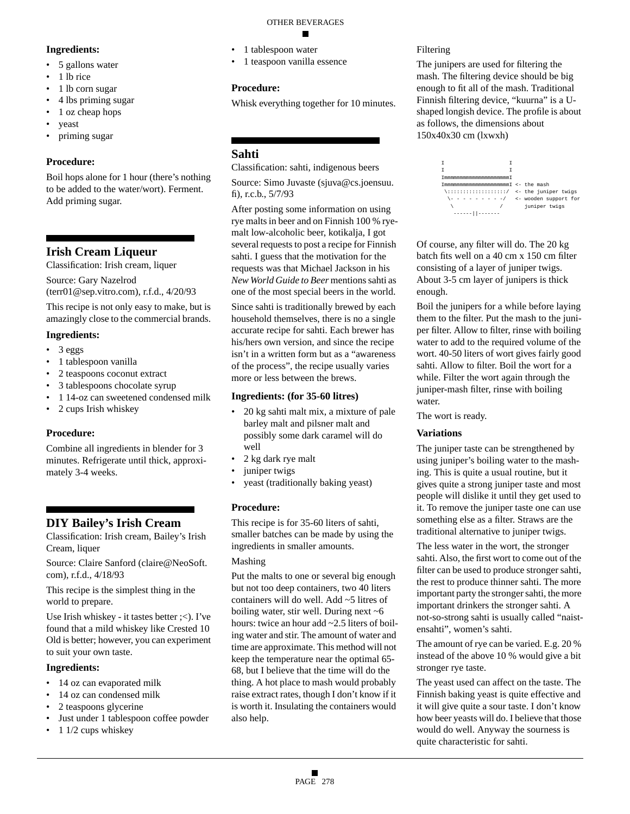#### **Ingredients:**

- 5 gallons water
- 1 lb rice
- 1 lb corn sugar
- 4 lbs priming sugar
- 1 oz cheap hops
- yeast
- priming sugar

#### **Procedure:**

Boil hops alone for 1 hour (there's nothing to be added to the water/wort). Ferment. Add priming sugar.

# **Irish Cream Liqueur**

Classification: Irish cream, liquer

Source: Gary Nazelrod (terr01@sep.vitro.com), r.f.d., 4/20/93

This recipe is not only easy to make, but is amazingly close to the commercial brands.

#### **Ingredients:**

- 3 eggs
- 1 tablespoon vanilla
- 2 teaspoons coconut extract
- 3 tablespoons chocolate syrup
- 1 14-oz can sweetened condensed milk
- 2 cups Irish whiskey

#### **Procedure:**

Combine all ingredients in blender for 3 minutes. Refrigerate until thick, approximately 3-4 weeks.

# **DIY Bailey's Irish Cream**

Classification: Irish cream, Bailey's Irish Cream, liquer

Source: Claire Sanford (claire@NeoSoft. com), r.f.d., 4/18/93

This recipe is the simplest thing in the world to prepare.

Use Irish whiskey - it tastes better ;<). I've found that a mild whiskey like Crested 10 Old is better; however, you can experiment to suit your own taste.

#### **Ingredients:**

- 14 oz can evaporated milk
- 14 oz can condensed milk
- 2 teaspoons glycerine
- Just under 1 tablespoon coffee powder
- 1 1/2 cups whiskey

#### OTHER BEVERAGES

- 1 tablespoon water
- 1 teaspoon vanilla essence

## **Procedure:**

Whisk everything together for 10 minutes.

# **Sahti**

Classification: sahti, indigenous beers

Source: Simo Juvaste (sjuva@cs.joensuu. fi), r.c.b., 5/7/93

After posting some information on using rye malts in beer and on Finnish 100 % ryemalt low-alcoholic beer, kotikalja, I got several requests to post a recipe for Finnish sahti. I guess that the motivation for the requests was that Michael Jackson in his *New World Guide to Beer* mentions sahti as one of the most special beers in the world.

Since sahti is traditionally brewed by each household themselves, there is no a single accurate recipe for sahti. Each brewer has his/hers own version, and since the recipe isn't in a written form but as a "awareness of the process", the recipe usually varies more or less between the brews.

### **Ingredients: (for 35-60 litres)**

- 20 kg sahti malt mix, a mixture of pale barley malt and pilsner malt and possibly some dark caramel will do well
- 2 kg dark rye malt
- juniper twigs
- yeast (traditionally baking yeast)

# **Procedure:**

This recipe is for 35-60 liters of sahti, smaller batches can be made by using the ingredients in smaller amounts.

#### Mashing

Put the malts to one or several big enough but not too deep containers, two 40 liters containers will do well. Add ~5 litres of boiling water, stir well. During next ~6 hours: twice an hour add ~2.5 liters of boiling water and stir. The amount of water and time are approximate. This method will not keep the temperature near the optimal 65- 68, but I believe that the time will do the thing. A hot place to mash would probably raise extract rates, though I don't know if it is worth it. Insulating the containers would also help.

## Filtering

The junipers are used for filtering the mash. The filtering device should be big enough to fit all of the mash. Traditional Finnish filtering device, "kuurna" is a Ushaped longish device. The profile is about as follows, the dimensions about 150x40x30 cm (lxwxh)



Of course, any filter will do. The 20 kg batch fits well on a 40 cm x 150 cm filter consisting of a layer of juniper twigs. About 3-5 cm layer of junipers is thick enough.

Boil the junipers for a while before laying them to the filter. Put the mash to the juniper filter. Allow to filter, rinse with boiling water to add to the required volume of the wort. 40-50 liters of wort gives fairly good sahti. Allow to filter. Boil the wort for a while. Filter the wort again through the juniper-mash filter, rinse with boiling water.

The wort is ready.

# **Variations**

The juniper taste can be strengthened by using juniper's boiling water to the mashing. This is quite a usual routine, but it gives quite a strong juniper taste and most people will dislike it until they get used to it. To remove the juniper taste one can use something else as a filter. Straws are the traditional alternative to juniper twigs.

The less water in the wort, the stronger sahti. Also, the first wort to come out of the filter can be used to produce stronger sahti, the rest to produce thinner sahti. The more important party the stronger sahti, the more important drinkers the stronger sahti. A not-so-strong sahti is usually called "naistensahti", women's sahti.

The amount of rye can be varied. E.g. 20 % instead of the above 10 % would give a bit stronger rye taste.

The yeast used can affect on the taste. The Finnish baking yeast is quite effective and it will give quite a sour taste. I don't know how beer yeasts will do. I believe that those would do well. Anyway the sourness is quite characteristic for sahti.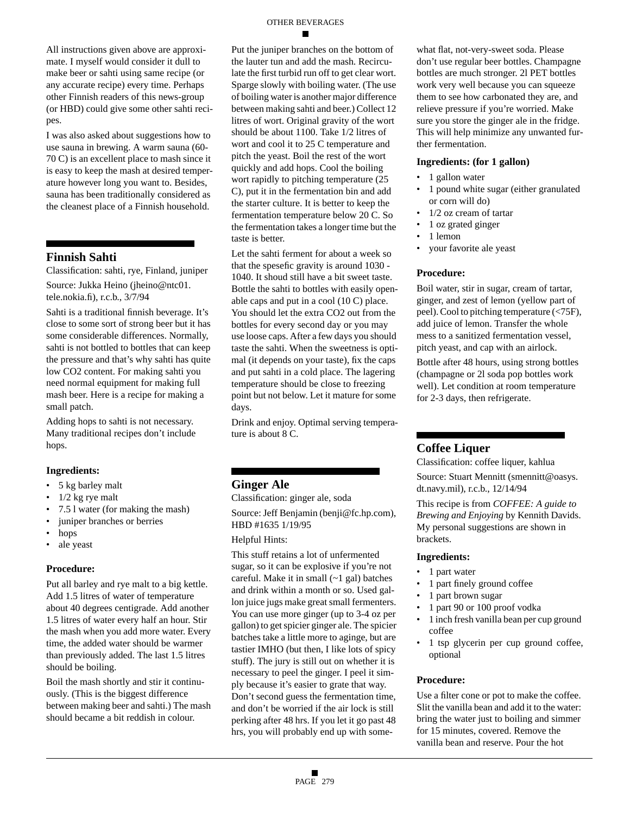All instructions given above are approximate. I myself would consider it dull to make beer or sahti using same recipe (or any accurate recipe) every time. Perhaps other Finnish readers of this news-group (or HBD) could give some other sahti recipes.

I was also asked about suggestions how to use sauna in brewing. A warm sauna (60- 70 C) is an excellent place to mash since it is easy to keep the mash at desired temperature however long you want to. Besides, sauna has been traditionally considered as the cleanest place of a Finnish household.

### **Finnish Sahti**

Classification: sahti, rye, Finland, juniper Source: Jukka Heino (jheino@ntc01. tele.nokia.fi), r.c.b., 3/7/94

Sahti is a traditional finnish beverage. It's close to some sort of strong beer but it has some considerable differences. Normally, sahti is not bottled to bottles that can keep the pressure and that's why sahti has quite low CO2 content. For making sahti you need normal equipment for making full mash beer. Here is a recipe for making a small patch.

Adding hops to sahti is not necessary. Many traditional recipes don't include hops.

#### **Ingredients:**

- 5 kg barley malt
- 1/2 kg rye malt
- 7.5 l water (for making the mash)
- juniper branches or berries
- hops
- ale yeast

#### **Procedure:**

Put all barley and rye malt to a big kettle. Add 1.5 litres of water of temperature about 40 degrees centigrade. Add another 1.5 litres of water every half an hour. Stir the mash when you add more water. Every time, the added water should be warmer than previously added. The last 1.5 litres should be boiling.

Boil the mash shortly and stir it continuously. (This is the biggest difference between making beer and sahti.) The mash should became a bit reddish in colour.

Put the juniper branches on the bottom of the lauter tun and add the mash. Recirculate the first turbid run off to get clear wort. Sparge slowly with boiling water. (The use of boiling water is another major difference between making sahti and beer.) Collect 12 litres of wort. Original gravity of the wort should be about 1100. Take 1/2 litres of wort and cool it to 25 C temperature and pitch the yeast. Boil the rest of the wort quickly and add hops. Cool the boiling wort rapidly to pitching temperature (25 C), put it in the fermentation bin and add the starter culture. It is better to keep the fermentation temperature below 20 C. So the fermentation takes a longer time but the taste is better.

Let the sahti ferment for about a week so that the spesefic gravity is around 1030 - 1040. It shoud still have a bit sweet taste. Bottle the sahti to bottles with easily openable caps and put in a cool (10 C) place. You should let the extra CO2 out from the bottles for every second day or you may use loose caps. After a few days you should taste the sahti. When the sweetness is optimal (it depends on your taste), fix the caps and put sahti in a cold place. The lagering temperature should be close to freezing point but not below. Let it mature for some days.

Drink and enjoy. Optimal serving temperature is about 8 C.

# **Ginger Ale**

Classification: ginger ale, soda

Source: Jeff Benjamin (benji@fc.hp.com), HBD #1635 1/19/95

#### Helpful Hints:

This stuff retains a lot of unfermented sugar, so it can be explosive if you're not careful. Make it in small (~1 gal) batches and drink within a month or so. Used gallon juice jugs make great small fermenters. You can use more ginger (up to 3-4 oz per gallon) to get spicier ginger ale. The spicier batches take a little more to aginge, but are tastier IMHO (but then, I like lots of spicy stuff). The jury is still out on whether it is necessary to peel the ginger. I peel it simply because it's easier to grate that way. Don't second guess the fermentation time, and don't be worried if the air lock is still perking after 48 hrs. If you let it go past 48 hrs, you will probably end up with somewhat flat, not-very-sweet soda. Please don't use regular beer bottles. Champagne bottles are much stronger. 2l PET bottles work very well because you can squeeze them to see how carbonated they are, and relieve pressure if you're worried. Make sure you store the ginger ale in the fridge. This will help minimize any unwanted further fermentation.

#### **Ingredients: (for 1 gallon)**

- 1 gallon water
- 1 pound white sugar (either granulated or corn will do)
- 1/2 oz cream of tartar
- 1 oz grated ginger
- 1 lemon
- your favorite ale yeast

#### **Procedure:**

Boil water, stir in sugar, cream of tartar, ginger, and zest of lemon (yellow part of peel). Cool to pitching temperature (<75F), add juice of lemon. Transfer the whole mess to a sanitized fermentation vessel, pitch yeast, and cap with an airlock.

Bottle after 48 hours, using strong bottles (champagne or 2l soda pop bottles work well). Let condition at room temperature for 2-3 days, then refrigerate.

#### **Coffee Liquer**

Classification: coffee liquer, kahlua Source: Stuart Mennitt (smennitt@oasys. dt.navy.mil), r.c.b., 12/14/94

This recipe is from *COFFEE: A guide to Brewing and Enjoying* by Kennith Davids. My personal suggestions are shown in brackets.

#### **Ingredients:**

- 1 part water
- 1 part finely ground coffee
- 1 part brown sugar
- 1 part 90 or 100 proof vodka
- 1 inch fresh vanilla bean per cup ground coffee
- 1 tsp glycerin per cup ground coffee, optional

#### **Procedure:**

Use a filter cone or pot to make the coffee. Slit the vanilla bean and add it to the water: bring the water just to boiling and simmer for 15 minutes, covered. Remove the vanilla bean and reserve. Pour the hot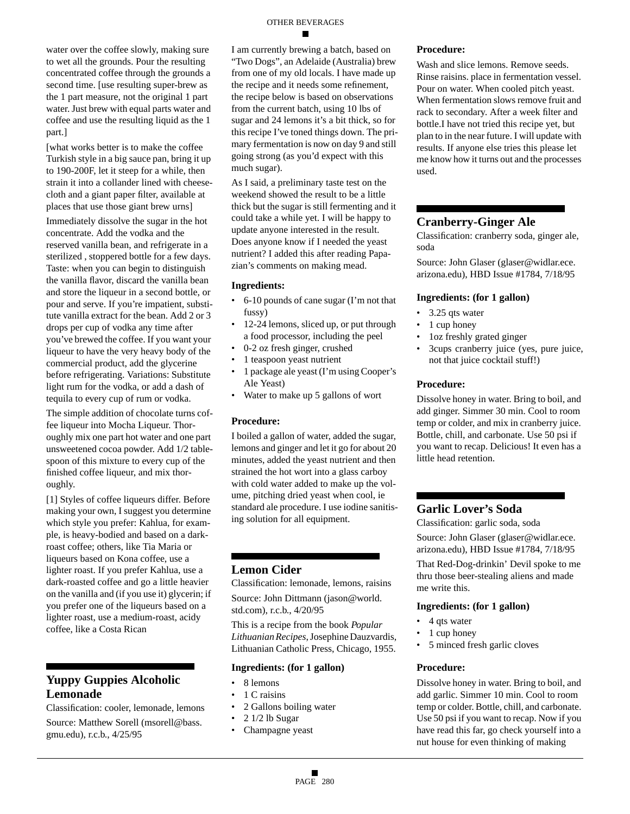#### OTHER BEVERAGES

water over the coffee slowly, making sure to wet all the grounds. Pour the resulting concentrated coffee through the grounds a second time. [use resulting super-brew as the 1 part measure, not the original 1 part water. Just brew with equal parts water and coffee and use the resulting liquid as the 1 part.]

[what works better is to make the coffee Turkish style in a big sauce pan, bring it up to 190-200F, let it steep for a while, then strain it into a collander lined with cheesecloth and a giant paper filter, available at places that use those giant brew urns] Immediately dissolve the sugar in the hot concentrate. Add the vodka and the reserved vanilla bean, and refrigerate in a sterilized , stoppered bottle for a few days. Taste: when you can begin to distinguish the vanilla flavor, discard the vanilla bean and store the liqueur in a second bottle, or pour and serve. If you're impatient, substitute vanilla extract for the bean. Add 2 or 3 drops per cup of vodka any time after you've brewed the coffee. If you want your liqueur to have the very heavy body of the commercial product, add the glycerine before refrigerating. Variations: Substitute light rum for the vodka, or add a dash of tequila to every cup of rum or vodka.

The simple addition of chocolate turns coffee liqueur into Mocha Liqueur. Thoroughly mix one part hot water and one part unsweetened cocoa powder. Add 1/2 tablespoon of this mixture to every cup of the finished coffee liqueur, and mix thoroughly.

[1] Styles of coffee liqueurs differ. Before making your own, I suggest you determine which style you prefer: Kahlua, for example, is heavy-bodied and based on a darkroast coffee; others, like Tia Maria or liqueurs based on Kona coffee, use a lighter roast. If you prefer Kahlua, use a dark-roasted coffee and go a little heavier on the vanilla and (if you use it) glycerin; if you prefer one of the liqueurs based on a lighter roast, use a medium-roast, acidy coffee, like a Costa Rican

# **Yuppy Guppies Alcoholic Lemonade**

Classification: cooler, lemonade, lemons

Source: Matthew Sorell (msorell@bass. gmu.edu), r.c.b., 4/25/95

I am currently brewing a batch, based on "Two Dogs", an Adelaide (Australia) brew from one of my old locals. I have made up the recipe and it needs some refinement, the recipe below is based on observations from the current batch, using 10 lbs of sugar and 24 lemons it's a bit thick, so for this recipe I've toned things down. The primary fermentation is now on day 9 and still going strong (as you'd expect with this much sugar).

As I said, a preliminary taste test on the weekend showed the result to be a little thick but the sugar is still fermenting and it could take a while yet. I will be happy to update anyone interested in the result. Does anyone know if I needed the yeast nutrient? I added this after reading Papazian's comments on making mead.

#### **Ingredients:**

- 6-10 pounds of cane sugar (I'm not that fussy)
- 12-24 lemons, sliced up, or put through a food processor, including the peel
- 0-2 oz fresh ginger, crushed
- 1 teaspoon yeast nutrient
- 1 package ale yeast (I'm using Cooper's Ale Yeast)
- Water to make up 5 gallons of wort

#### **Procedure:**

I boiled a gallon of water, added the sugar, lemons and ginger and let it go for about 20 minutes, added the yeast nutrient and then strained the hot wort into a glass carboy with cold water added to make up the volume, pitching dried yeast when cool, ie standard ale procedure. I use iodine sanitising solution for all equipment.

#### **Lemon Cider**

Classification: lemonade, lemons, raisins Source: John Dittmann (jason@world. std.com), r.c.b., 4/20/95

This is a recipe from the book *Popular Lithuanian Recipes*, Josephine Dauzvardis, Lithuanian Catholic Press, Chicago, 1955.

#### **Ingredients: (for 1 gallon)**

- 8 lemons
- 1 C raisins
- 2 Gallons boiling water
- 2 1/2 lb Sugar
- Champagne yeast

#### **Procedure:**

Wash and slice lemons. Remove seeds. Rinse raisins. place in fermentation vessel. Pour on water. When cooled pitch yeast. When fermentation slows remove fruit and rack to secondary. After a week filter and bottle.I have not tried this recipe yet, but plan to in the near future. I will update with results. If anyone else tries this please let me know how it turns out and the processes used.

### **Cranberry-Ginger Ale**

Classification: cranberry soda, ginger ale, soda

Source: John Glaser (glaser@widlar.ece. arizona.edu), HBD Issue #1784, 7/18/95

#### **Ingredients: (for 1 gallon)**

- 3.25 qts water
- 1 cup honey
- 1oz freshly grated ginger
- 3cups cranberry juice (yes, pure juice, not that juice cocktail stuff!)

#### **Procedure:**

Dissolve honey in water. Bring to boil, and add ginger. Simmer 30 min. Cool to room temp or colder, and mix in cranberry juice. Bottle, chill, and carbonate. Use 50 psi if you want to recap. Delicious! It even has a little head retention.

# **Garlic Lover's Soda**

Classification: garlic soda, soda

Source: John Glaser (glaser@widlar.ece. arizona.edu), HBD Issue #1784, 7/18/95

That Red-Dog-drinkin' Devil spoke to me thru those beer-stealing aliens and made me write this.

#### **Ingredients: (for 1 gallon)**

- 4 qts water
- 1 cup honey
- 5 minced fresh garlic cloves

#### **Procedure:**

Dissolve honey in water. Bring to boil, and add garlic. Simmer 10 min. Cool to room temp or colder. Bottle, chill, and carbonate. Use 50 psi if you want to recap. Now if you have read this far, go check yourself into a nut house for even thinking of making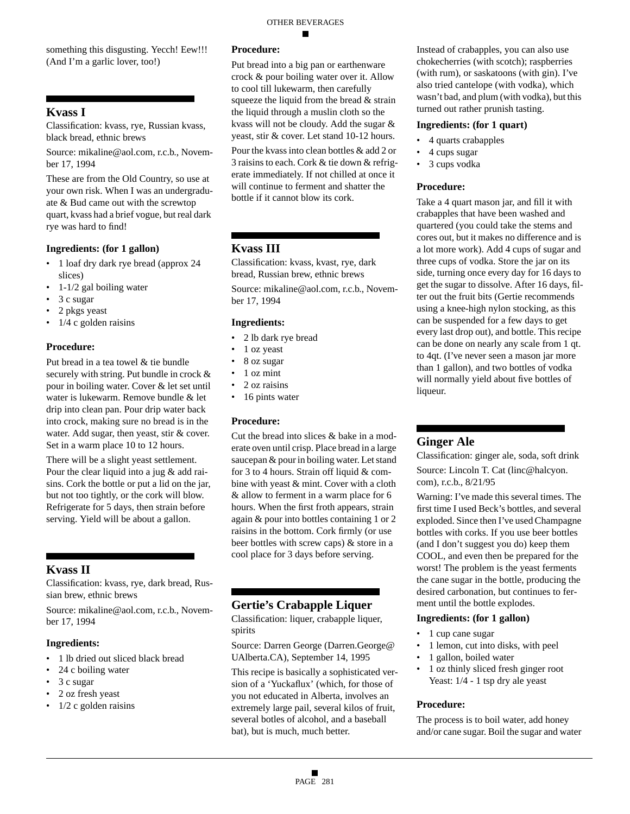something this disgusting. Yecch! Eew!!! (And I'm a garlic lover, too!)

# **Kvass I**

Classification: kvass, rye, Russian kvass, black bread, ethnic brews

Source: mikaline@aol.com, r.c.b., November 17, 1994

These are from the Old Country, so use at your own risk. When I was an undergraduate & Bud came out with the screwtop quart, kvass had a brief vogue, but real dark rye was hard to find!

#### **Ingredients: (for 1 gallon)**

- 1 loaf dry dark rye bread (approx 24 slices)
- $\cdot$  1-1/2 gal boiling water
- 3 c sugar
- 2 pkgs yeast
- $1/4$  c golden raisins

#### **Procedure:**

Put bread in a tea towel & tie bundle securely with string. Put bundle in crock & pour in boiling water. Cover & let set until water is lukewarm. Remove bundle & let drip into clean pan. Pour drip water back into crock, making sure no bread is in the water. Add sugar, then yeast, stir & cover. Set in a warm place 10 to 12 hours.

There will be a slight yeast settlement. Pour the clear liquid into a jug  $&$  add raisins. Cork the bottle or put a lid on the jar, but not too tightly, or the cork will blow. Refrigerate for 5 days, then strain before serving. Yield will be about a gallon.

# **Kvass II**

Classification: kvass, rye, dark bread, Russian brew, ethnic brews

Source: mikaline@aol.com, r.c.b., November 17, 1994

#### **Ingredients:**

- 1 lb dried out sliced black bread
- 24 c boiling water
- 3 c sugar
- 2 oz fresh yeast
- $\cdot$  1/2 c golden raisins

# **Procedure:**

Put bread into a big pan or earthenware crock & pour boiling water over it. Allow to cool till lukewarm, then carefully squeeze the liquid from the bread & strain the liquid through a muslin cloth so the kvass will not be cloudy. Add the sugar & yeast, stir & cover. Let stand 10-12 hours.

OTHER BEVERAGES

Pour the kvass into clean bottles & add 2 or 3 raisins to each. Cork & tie down & refrigerate immediately. If not chilled at once it will continue to ferment and shatter the bottle if it cannot blow its cork.

# **Kvass III**

Classification: kvass, kvast, rye, dark bread, Russian brew, ethnic brews

Source: mikaline@aol.com, r.c.b., November 17, 1994

#### **Ingredients:**

- 2 lb dark rye bread
- 1 oz yeast
- 8 oz sugar
- 1 oz mint
- 2 oz raisins
- 16 pints water

#### **Procedure:**

Cut the bread into slices & bake in a moderate oven until crisp. Place bread in a large saucepan & pour in boiling water. Let stand for 3 to 4 hours. Strain off liquid & combine with yeast & mint. Cover with a cloth & allow to ferment in a warm place for 6 hours. When the first froth appears, strain again & pour into bottles containing 1 or 2 raisins in the bottom. Cork firmly (or use beer bottles with screw caps) & store in a cool place for 3 days before serving.

# **Gertie's Crabapple Liquer**

Classification: liquer, crabapple liquer, spirits

Source: Darren George (Darren.George@ UAlberta.CA), September 14, 1995

This recipe is basically a sophisticated version of a 'Yuckaflux' (which, for those of you not educated in Alberta, involves an extremely large pail, several kilos of fruit, several botles of alcohol, and a baseball bat), but is much, much better.

Instead of crabapples, you can also use chokecherries (with scotch); raspberries (with rum), or saskatoons (with gin). I've also tried cantelope (with vodka), which wasn't bad, and plum (with vodka), but this turned out rather prunish tasting.

#### **Ingredients: (for 1 quart)**

- 4 quarts crabapples
- 4 cups sugar
- 3 cups vodka

#### **Procedure:**

Take a 4 quart mason jar, and fill it with crabapples that have been washed and quartered (you could take the stems and cores out, but it makes no difference and is a lot more work). Add 4 cups of sugar and three cups of vodka. Store the jar on its side, turning once every day for 16 days to get the sugar to dissolve. After 16 days, filter out the fruit bits (Gertie recommends using a knee-high nylon stocking, as this can be suspended for a few days to get every last drop out), and bottle. This recipe can be done on nearly any scale from 1 qt. to 4qt. (I've never seen a mason jar more than 1 gallon), and two bottles of vodka will normally yield about five bottles of liqueur.

# **Ginger Ale**

Classification: ginger ale, soda, soft drink Source: Lincoln T. Cat (linc@halcyon. com), r.c.b., 8/21/95

Warning: I've made this several times. The first time I used Beck's bottles, and several exploded. Since then I've used Champagne bottles with corks. If you use beer bottles (and I don't suggest you do) keep them COOL, and even then be prepared for the worst! The problem is the yeast ferments the cane sugar in the bottle, producing the desired carbonation, but continues to ferment until the bottle explodes.

#### **Ingredients: (for 1 gallon)**

- 1 cup cane sugar
- 1 lemon, cut into disks, with peel
	- 1 gallon, boiled water
	- 1 oz thinly sliced fresh ginger root Yeast: 1/4 - 1 tsp dry ale yeast

#### **Procedure:**

The process is to boil water, add honey and/or cane sugar. Boil the sugar and water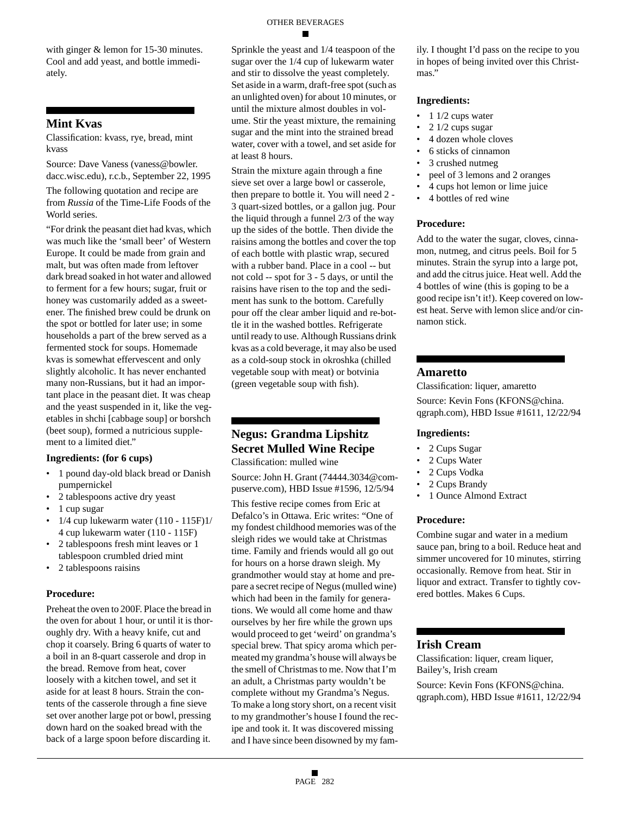with ginger & lemon for 15-30 minutes. Cool and add yeast, and bottle immediately.

# **Mint Kvas**

Classification: kvass, rye, bread, mint kvass

Source: Dave Vaness (vaness@bowler. dacc.wisc.edu), r.c.b., September 22, 1995

The following quotation and recipe are from *Russia* of the Time-Life Foods of the World series.

"For drink the peasant diet had kvas, which was much like the 'small beer' of Western Europe. It could be made from grain and malt, but was often made from leftover dark bread soaked in hot water and allowed to ferment for a few hours; sugar, fruit or honey was customarily added as a sweetener. The finished brew could be drunk on the spot or bottled for later use; in some households a part of the brew served as a fermented stock for soups. Homemade kvas is somewhat effervescent and only slightly alcoholic. It has never enchanted many non-Russians, but it had an important place in the peasant diet. It was cheap and the yeast suspended in it, like the vegetables in shchi [cabbage soup] or borshch (beet soup), formed a nutricious supplement to a limited diet."

#### **Ingredients: (for 6 cups)**

- 1 pound day-old black bread or Danish pumpernickel
- 2 tablespoons active dry yeast
- 1 cup sugar
- 1/4 cup lukewarm water (110 115F)1/ 4 cup lukewarm water (110 - 115F)
- 2 tablespoons fresh mint leaves or 1 tablespoon crumbled dried mint
- 2 tablespoons raisins

#### **Procedure:**

Preheat the oven to 200F. Place the bread in the oven for about 1 hour, or until it is thoroughly dry. With a heavy knife, cut and chop it coarsely. Bring 6 quarts of water to a boil in an 8-quart casserole and drop in the bread. Remove from heat, cover loosely with a kitchen towel, and set it aside for at least 8 hours. Strain the contents of the casserole through a fine sieve set over another large pot or bowl, pressing down hard on the soaked bread with the back of a large spoon before discarding it.

Sprinkle the yeast and 1/4 teaspoon of the sugar over the 1/4 cup of lukewarm water and stir to dissolve the yeast completely. Set aside in a warm, draft-free spot (such as an unlighted oven) for about 10 minutes, or until the mixture almost doubles in volume. Stir the yeast mixture, the remaining sugar and the mint into the strained bread water, cover with a towel, and set aside for at least 8 hours.

Strain the mixture again through a fine sieve set over a large bowl or casserole, then prepare to bottle it. You will need 2 - 3 quart-sized bottles, or a gallon jug. Pour the liquid through a funnel 2/3 of the way up the sides of the bottle. Then divide the raisins among the bottles and cover the top of each bottle with plastic wrap, secured with a rubber band. Place in a cool -- but not cold -- spot for 3 - 5 days, or until the raisins have risen to the top and the sediment has sunk to the bottom. Carefully pour off the clear amber liquid and re-bottle it in the washed bottles. Refrigerate until ready to use. Although Russians drink kvas as a cold beverage, it may also be used as a cold-soup stock in okroshka (chilled vegetable soup with meat) or botvinia (green vegetable soup with fish).

# **Negus: Grandma Lipshitz Secret Mulled Wine Recipe**

Classification: mulled wine

Source: John H. Grant (74444.3034@compuserve.com), HBD Issue #1596, 12/5/94

This festive recipe comes from Eric at Defalco's in Ottawa. Eric writes: "One of my fondest childhood memories was of the sleigh rides we would take at Christmas time. Family and friends would all go out for hours on a horse drawn sleigh. My grandmother would stay at home and prepare a secret recipe of Negus (mulled wine) which had been in the family for generations. We would all come home and thaw ourselves by her fire while the grown ups would proceed to get 'weird' on grandma's special brew. That spicy aroma which permeated my grandma's house will always be the smell of Christmas to me. Now that I'm an adult, a Christmas party wouldn't be complete without my Grandma's Negus. To make a long story short, on a recent visit to my grandmother's house I found the recipe and took it. It was discovered missing and I have since been disowned by my family. I thought I'd pass on the recipe to you in hopes of being invited over this Christmas."

#### **Ingredients:**

- $\cdot$  1 1/2 cups water
- 2 1/2 cups sugar
- 4 dozen whole cloves
- 6 sticks of cinnamon
- 3 crushed nutmeg
- peel of 3 lemons and 2 oranges
- 4 cups hot lemon or lime juice
- 4 bottles of red wine

#### **Procedure:**

Add to the water the sugar, cloves, cinnamon, nutmeg, and citrus peels. Boil for 5 minutes. Strain the syrup into a large pot, and add the citrus juice. Heat well. Add the 4 bottles of wine (this is goping to be a good recipe isn't it!). Keep covered on lowest heat. Serve with lemon slice and/or cinnamon stick.

#### **Amaretto**

Classification: liquer, amaretto Source: Kevin Fons (KFONS@china. qgraph.com), HBD Issue #1611, 12/22/94

#### **Ingredients:**

- 2 Cups Sugar
- 2 Cups Water
- 2 Cups Vodka
- 2 Cups Brandy
- 1 Ounce Almond Extract

#### **Procedure:**

Combine sugar and water in a medium sauce pan, bring to a boil. Reduce heat and simmer uncovered for 10 minutes, stirring occasionally. Remove from heat. Stir in liquor and extract. Transfer to tightly covered bottles. Makes 6 Cups.

# **Irish Cream**

Classification: liquer, cream liquer, Bailey's, Irish cream Source: Kevin Fons (KFONS@china. qgraph.com), HBD Issue #1611, 12/22/94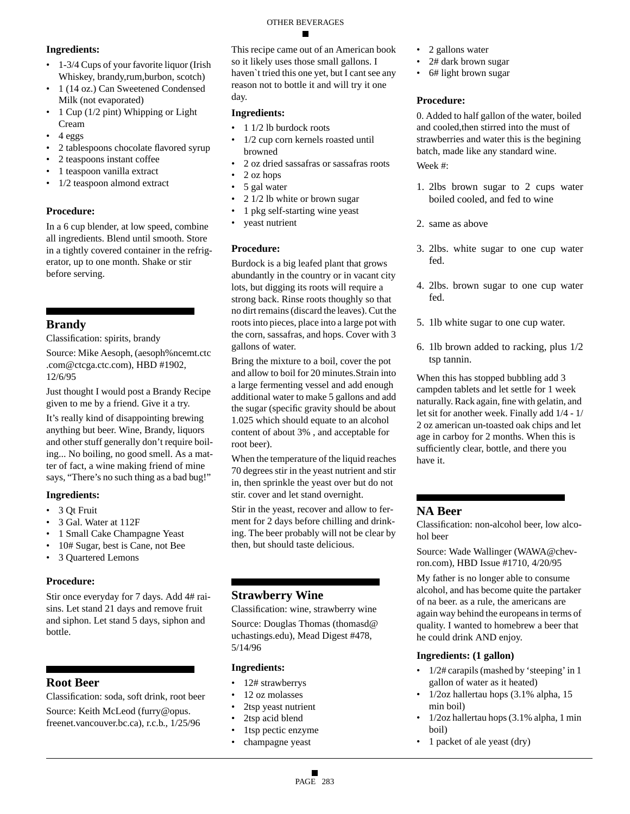#### OTHER BEVERAGES

#### **Ingredients:**

- 1-3/4 Cups of your favorite liquor (Irish Whiskey, brandy,rum,burbon, scotch)
- 1 (14 oz.) Can Sweetened Condensed Milk (not evaporated)
- 1 Cup (1/2 pint) Whipping or Light Cream
- 4 eggs
- 2 tablespoons chocolate flavored syrup
- 2 teaspoons instant coffee
- 1 teaspoon vanilla extract
- 1/2 teaspoon almond extract

#### **Procedure:**

In a 6 cup blender, at low speed, combine all ingredients. Blend until smooth. Store in a tightly covered container in the refrigerator, up to one month. Shake or stir before serving.

# **Brandy**

Classification: spirits, brandy

Source: Mike Aesoph, (aesoph%ncemt.ctc .com@ctcga.ctc.com), HBD #1902, 12/6/95

Just thought I would post a Brandy Recipe given to me by a friend. Give it a try.

It's really kind of disappointing brewing anything but beer. Wine, Brandy, liquors and other stuff generally don't require boiling... No boiling, no good smell. As a matter of fact, a wine making friend of mine says, "There's no such thing as a bad bug!"

#### **Ingredients:**

- 3 Qt Fruit
- 3 Gal. Water at 112F
- 1 Small Cake Champagne Yeast
- 10# Sugar, best is Cane, not Bee
- 3 Quartered Lemons

#### **Procedure:**

Stir once everyday for 7 days. Add 4# raisins. Let stand 21 days and remove fruit and siphon. Let stand 5 days, siphon and bottle.

# **Root Beer**

Classification: soda, soft drink, root beer Source: Keith McLeod (furry@opus. freenet.vancouver.bc.ca), r.c.b., 1/25/96

This recipe came out of an American book so it likely uses those small gallons. I haven`t tried this one yet, but I cant see any reason not to bottle it and will try it one day.

#### **Ingredients:**

- $\cdot$  1 1/2 lb burdock roots
- 1/2 cup corn kernels roasted until browned
- 2 oz dried sassafras or sassafras roots
- 2 oz hops
- 5 gal water
- 2 1/2 lb white or brown sugar
- 1 pkg self-starting wine yeast
- veast nutrient

#### **Procedure:**

Burdock is a big leafed plant that grows abundantly in the country or in vacant city lots, but digging its roots will require a strong back. Rinse roots thoughly so that no dirt remains (discard the leaves). Cut the roots into pieces, place into a large pot with the corn, sassafras, and hops. Cover with 3 gallons of water.

Bring the mixture to a boil, cover the pot and allow to boil for 20 minutes.Strain into a large fermenting vessel and add enough additional water to make 5 gallons and add the sugar (specific gravity should be about 1.025 which should equate to an alcohol content of about 3% , and acceptable for root beer).

When the temperature of the liquid reaches 70 degrees stir in the yeast nutrient and stir in, then sprinkle the yeast over but do not stir. cover and let stand overnight.

Stir in the yeast, recover and allow to ferment for 2 days before chilling and drinking. The beer probably will not be clear by then, but should taste delicious.

# **Strawberry Wine**

Classification: wine, strawberry wine

Source: Douglas Thomas (thomasd@ uchastings.edu), Mead Digest #478, 5/14/96

#### **Ingredients:**

- 12# strawberrys
- 12 oz molasses
- 2tsp yeast nutrient
- 2tsp acid blend
- 1tsp pectic enzyme
- champagne yeast
- 2 gallons water
- 2# dark brown sugar
- 6# light brown sugar

#### **Procedure:**

0. Added to half gallon of the water, boiled and cooled,then stirred into the must of strawberries and water this is the begining batch, made like any standard wine. Week #:

- 1. 2lbs brown sugar to 2 cups water boiled cooled, and fed to wine
- 2. same as above
- 3. 2lbs. white sugar to one cup water fed.
- 4. 2lbs. brown sugar to one cup water fed.
- 5. 1lb white sugar to one cup water.
- 6. 1lb brown added to racking, plus 1/2 tsp tannin.

When this has stopped bubbling add 3 campden tablets and let settle for 1 week naturally. Rack again, fine with gelatin, and let sit for another week. Finally add 1/4 - 1/ 2 oz american un-toasted oak chips and let age in carboy for 2 months. When this is sufficiently clear, bottle, and there you have it.

# **NA Beer**

Classification: non-alcohol beer, low alcohol beer

Source: Wade Wallinger (WAWA@chevron.com), HBD Issue #1710, 4/20/95

My father is no longer able to consume alcohol, and has become quite the partaker of na beer. as a rule, the americans are again way behind the europeans in terms of quality. I wanted to homebrew a beer that he could drink AND enjoy.

#### **Ingredients: (1 gallon)**

- 1/2# carapils (mashed by 'steeping' in 1 gallon of water as it heated)
- 1/2oz hallertau hops (3.1% alpha, 15 min boil)
- 1/2oz hallertau hops (3.1% alpha, 1 min boil)
- 1 packet of ale yeast (dry)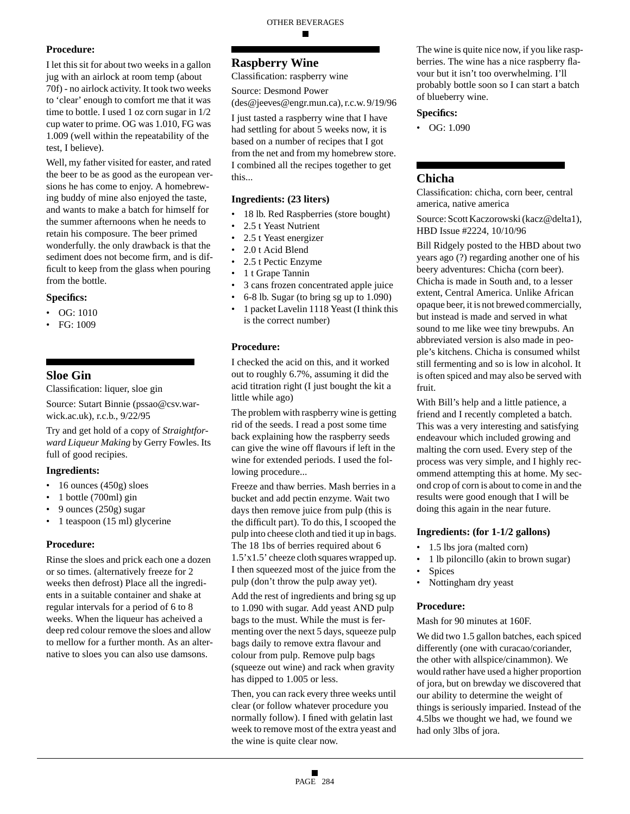# **Procedure:**

I let this sit for about two weeks in a gallon jug with an airlock at room temp (about 70f) - no airlock activity. It took two weeks to 'clear' enough to comfort me that it was time to bottle. I used 1 oz corn sugar in 1/2 cup water to prime. OG was 1.010, FG was 1.009 (well within the repeatability of the test, I believe).

Well, my father visited for easter, and rated the beer to be as good as the european versions he has come to enjoy. A homebrewing buddy of mine also enjoyed the taste, and wants to make a batch for himself for the summer afternoons when he needs to retain his composure. The beer primed wonderfully. the only drawback is that the sediment does not become firm, and is difficult to keep from the glass when pouring from the bottle.

#### **Specifics:**

- OG: 1010
- FG: 1009

# **Sloe Gin**

Classification: liquer, sloe gin

Source: Sutart Binnie (pssao@csv.warwick.ac.uk), r.c.b., 9/22/95

Try and get hold of a copy of *Straightforward Liqueur Making* by Gerry Fowles. Its full of good recipies.

#### **Ingredients:**

- 16 ounces (450g) sloes
- 1 bottle (700ml) gin
- 9 ounces (250g) sugar
- 1 teaspoon (15 ml) glycerine

#### **Procedure:**

Rinse the sloes and prick each one a dozen or so times. (alternatively freeze for 2 weeks then defrost) Place all the ingredients in a suitable container and shake at regular intervals for a period of 6 to 8 weeks. When the liqueur has acheived a deep red colour remove the sloes and allow to mellow for a further month. As an alternative to sloes you can also use damsons.

# **Raspberry Wine**

Classification: raspberry wine

Source: Desmond Power

(des@jeeves@engr.mun.ca), r.c.w. 9/19/96

I just tasted a raspberry wine that I have had settling for about 5 weeks now, it is based on a number of recipes that I got from the net and from my homebrew store. I combined all the recipes together to get this...

#### **Ingredients: (23 liters)**

- 18 lb. Red Raspberries (store bought)
- 2.5 t Yeast Nutrient
- 2.5 t Yeast energizer
- 2.0 t Acid Blend
- 2.5 t Pectic Enzyme
- 1 t Grape Tannin
- 3 cans frozen concentrated apple juice
- 6-8 lb. Sugar (to bring sg up to 1.090)
- 1 packet Lavelin 1118 Yeast (I think this is the correct number)

#### **Procedure:**

I checked the acid on this, and it worked out to roughly 6.7%, assuming it did the acid titration right (I just bought the kit a little while ago)

The problem with raspberry wine is getting rid of the seeds. I read a post some time back explaining how the raspberry seeds can give the wine off flavours if left in the wine for extended periods. I used the following procedure...

Freeze and thaw berries. Mash berries in a bucket and add pectin enzyme. Wait two days then remove juice from pulp (this is the difficult part). To do this, I scooped the pulp into cheese cloth and tied it up in bags. The 18 1bs of berries required about 6 1.5'x1.5' cheeze cloth squares wrapped up. I then squeezed most of the juice from the pulp (don't throw the pulp away yet).

Add the rest of ingredients and bring sg up to 1.090 with sugar. Add yeast AND pulp bags to the must. While the must is fermenting over the next 5 days, squeeze pulp bags daily to remove extra flavour and colour from pulp. Remove pulp bags (squeeze out wine) and rack when gravity has dipped to 1.005 or less.

Then, you can rack every three weeks until clear (or follow whatever procedure you normally follow). I fined with gelatin last week to remove most of the extra yeast and the wine is quite clear now.

The wine is quite nice now, if you like raspberries. The wine has a nice raspberry flavour but it isn't too overwhelming. I'll probably bottle soon so I can start a batch of blueberry wine.

#### **Specifics:**

• OG: 1.090

## **Chicha**

Classification: chicha, corn beer, central america, native america

Source: Scott Kaczorowski (kacz@delta1), HBD Issue #2224, 10/10/96

Bill Ridgely posted to the HBD about two years ago (?) regarding another one of his beery adventures: Chicha (corn beer). Chicha is made in South and, to a lesser extent, Central America. Unlike African opaque beer, it is not brewed commercially, but instead is made and served in what sound to me like wee tiny brewpubs. An abbreviated version is also made in people's kitchens. Chicha is consumed whilst still fermenting and so is low in alcohol. It is often spiced and may also be served with fruit.

With Bill's help and a little patience, a friend and I recently completed a batch. This was a very interesting and satisfying endeavour which included growing and malting the corn used. Every step of the process was very simple, and I highly recommend attempting this at home. My second crop of corn is about to come in and the results were good enough that I will be doing this again in the near future.

#### **Ingredients: (for 1-1/2 gallons)**

- 1.5 lbs jora (malted corn)
- 1 lb piloncillo (akin to brown sugar)
- Spices
- Nottingham dry yeast

#### **Procedure:**

Mash for 90 minutes at 160F.

We did two 1.5 gallon batches, each spiced differently (one with curacao/coriander, the other with allspice/cinammon). We would rather have used a higher proportion of jora, but on brewday we discovered that our ability to determine the weight of things is seriously imparied. Instead of the 4.5lbs we thought we had, we found we had only 3lbs of jora.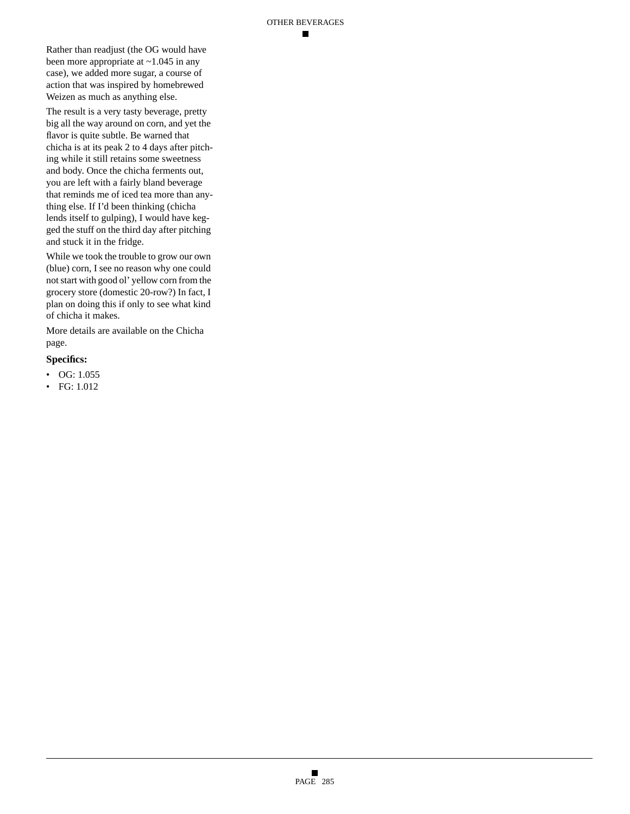▬

Rather than readjust (the OG would have been more appropriate at ~1.045 in any case), we added more sugar, a course of action that was inspired by homebrewed Weizen as much as anything else.

The result is a very tasty beverage, pretty big all the way around on corn, and yet the flavor is quite subtle. Be warned that chicha is at its peak 2 to 4 days after pitching while it still retains some sweetness and body. Once the chicha ferments out, you are left with a fairly bland beverage that reminds me of iced tea more than anything else. If I'd been thinking (chicha lends itself to gulping), I would have kegged the stuff on the third day after pitching and stuck it in the fridge.

While we took the trouble to grow our own (blue) corn, I see no reason why one could not start with good ol' yellow corn from the grocery store (domestic 20-row?) In fact, I plan on doing this if only to see what kind of chicha it makes.

More details are available on the Chicha page.

#### **Specifics:**

- $\bullet$  OG: 1.055
- FG: 1.012